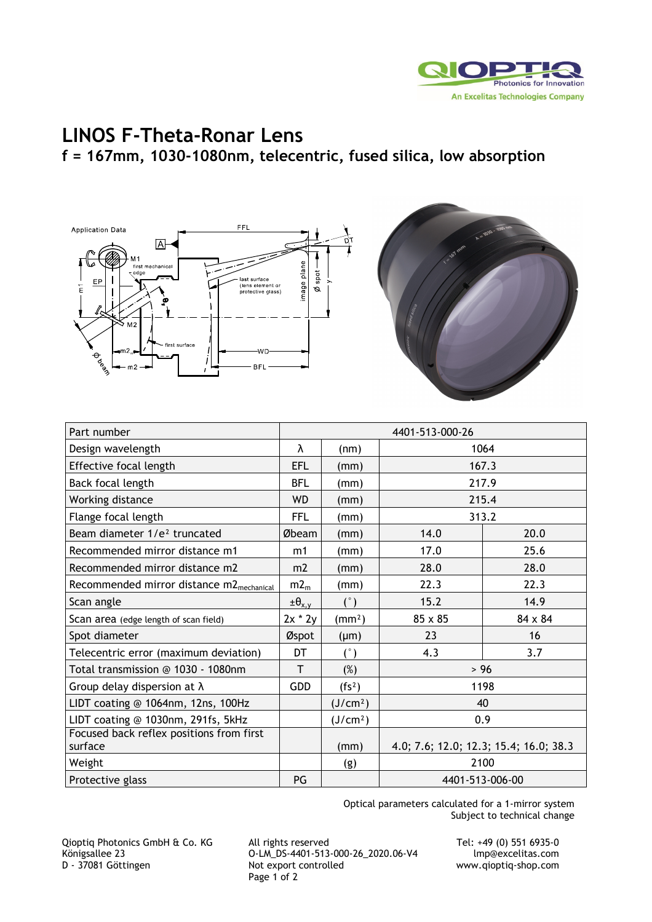

## **LINOS F-Theta-Ronar Lens f = 167mm, 1030-1080nm, telecentric, fused silica, low absorption**





| Part number                                          | 4401-513-000-26    |                      |                                        |                |
|------------------------------------------------------|--------------------|----------------------|----------------------------------------|----------------|
| Design wavelength                                    | λ                  | (nm)                 | 1064                                   |                |
| Effective focal length                               | <b>EFL</b>         | (mm)                 | 167.3                                  |                |
| Back focal length                                    | <b>BFL</b>         | (mm)                 | 217.9                                  |                |
| Working distance                                     | <b>WD</b>          | (mm)                 | 215.4                                  |                |
| Flange focal length                                  | <b>FFL</b>         | (mm)                 | 313.2                                  |                |
| Beam diameter 1/e <sup>2</sup> truncated             | Øbeam              | (mm)                 | 14.0                                   | 20.0           |
| Recommended mirror distance m1                       | m1                 | (mm)                 | 17.0                                   | 25.6           |
| Recommended mirror distance m2                       | m2                 | (mm)                 | 28.0                                   | 28.0           |
| Recommended mirror distance m2 <sub>mechanical</sub> | $m2_m$             | (mm)                 | 22.3                                   | 22.3           |
| Scan angle                                           | $\pm \theta_{x,y}$ | (°)                  | 15.2                                   | 14.9           |
| Scan area (edge length of scan field)                | $2x * 2y$          | (mm <sup>2</sup> )   | 85 x 85                                | $84 \times 84$ |
| Spot diameter                                        | Øspot              | $(\mu m)$            | 23                                     | 16             |
| Telecentric error (maximum deviation)                | DT                 | (°)                  | 4.3                                    | 3.7            |
| Total transmission @ 1030 - 1080nm                   | T                  | (%)                  | > 96                                   |                |
| Group delay dispersion at $\lambda$                  | GDD                | (fs <sup>2</sup> )   | 1198                                   |                |
| LIDT coating @ 1064nm, 12ns, 100Hz                   |                    | (J/cm <sup>2</sup> ) | 40                                     |                |
| LIDT coating @ 1030nm, 291fs, 5kHz                   |                    | (J/cm <sup>2</sup> ) | 0.9                                    |                |
| Focused back reflex positions from first<br>surface  |                    | (mm)                 | 4.0; 7.6; 12.0; 12.3; 15.4; 16.0; 38.3 |                |
| Weight                                               |                    | (g)                  | 2100                                   |                |
| Protective glass                                     | PG                 |                      | 4401-513-006-00                        |                |

Optical parameters calculated for a 1-mirror system Subject to technical change

Qioptiq Photonics GmbH & Co. KG All rights reserved Tel: +49 (0) 551 6935-0<br>C-LM\_DS-4401-513-000-26\_2020.06-V4 lmp@excelitas.com Königsallee 23 O-LM\_DS-4401-513-000-26\_2020.06-V4 lmp@excelitas.com Page 1 of 2

www.qioptiq-shop.com